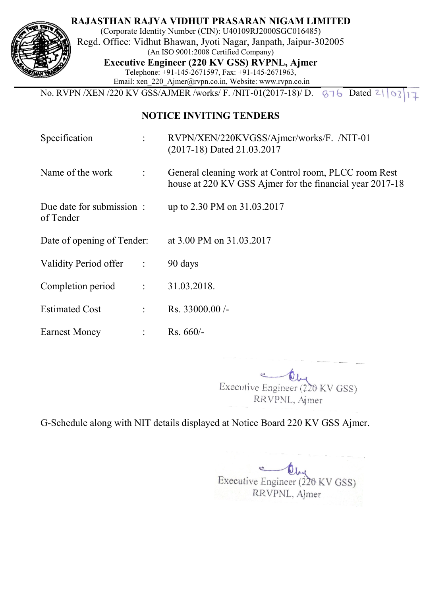

of Tender

**RAJASTHAN RAJYA VIDHUT PRASARAN NIGAM LIMITED**

(Corporate Identity Number (CIN): U40109RJ2000SGC016485) Regd. Office: Vidhut Bhawan, Jyoti Nagar, Janpath, Jaipur Jaipur-302005 (An ISO 9001:2008 Certified Company) **Executive Engineer (220 KV GSS) RVPNL, Ajmer** Telephone: +91 +91-145-2671597, Fax: +91-145-2671963, Email: xen\_220\_Ajmer@rvpn.co.in, Website: www.rvpn.co.in

No. RVPN /XEN /220 KV GSS/ GSS/AJMER /works/ F. /NIT-01(2017-18)/ D.  $876$  Dated  $2|03|17$ 

## **NOTICE INVITING TENDERS**

- Specification : RVPN/XEN/220KVGSS/Ajmer/works/F. /NIT-01 (2017-18) Dated 21.03.2017
- Name of the work : General cleaning work at Control room, PLCC room Rest house at 220 KV GSS Ajmer for the financial year 2017 2017-18

Due date for submission : up to 2.30 PM on 31.03.2017

Date of opening of Tender: at 3.00 PM on 31.03.2017

Validity Period offer : 90 days

Completion period : 31.03.2018.

Estimated Cost : Rs. 33000.00 /-

Earnest Money : Rs. 660/-

> Executive Engineer (220 KV GSS) RVPNL, Ajmer

G-Schedule along with NIT details displayed at Notice Board 220 KV GSS Ajmer.<br>Executive Engineer (220 KV GSS) Executive Engineer (220 KV GSS)<br>RRVPNL, Ajmer